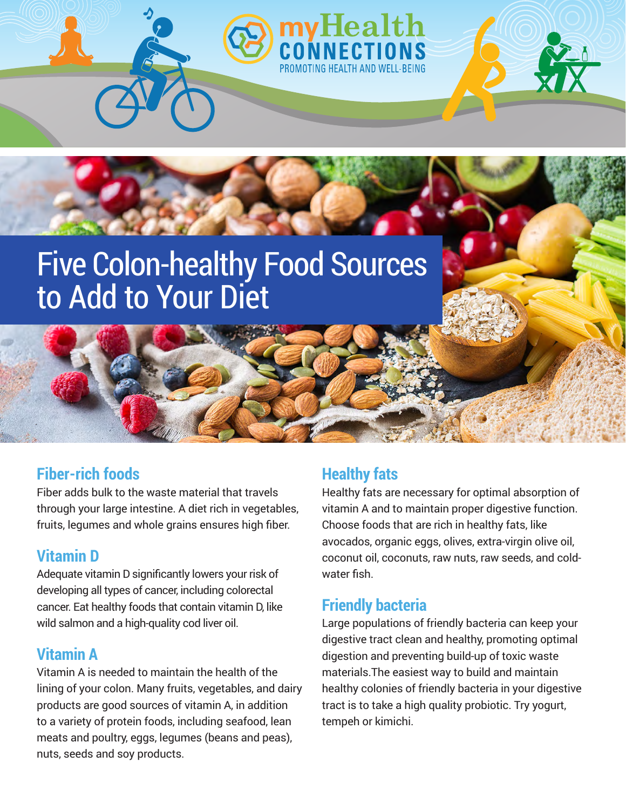

## **Fiber-rich foods**

Fiber adds bulk to the waste material that travels through your large intestine. A diet rich in vegetables, fruits, legumes and whole grains ensures high fiber.

# **Vitamin D**

Adequate vitamin D significantly lowers your risk of developing all types of cancer, including colorectal cancer. Eat healthy foods that contain vitamin D, like wild salmon and a high-quality cod liver oil.

### **Vitamin A**

Vitamin A is needed to maintain the health of the lining of your colon. Many fruits, vegetables, and dairy products are good sources of vitamin A, in addition to a variety of protein foods, including seafood, lean meats and poultry, eggs, legumes (beans and peas), nuts, seeds and soy products.

# **Healthy fats**

Healthy fats are necessary for optimal absorption of vitamin A and to maintain proper digestive function. Choose foods that are rich in healthy fats, like avocados, organic eggs, olives, extra-virgin olive oil, coconut oil, coconuts, raw nuts, raw seeds, and coldwater fish.

### **Friendly bacteria**

Large populations of friendly bacteria can keep your digestive tract clean and healthy, promoting optimal digestion and preventing build-up of toxic waste materials.The easiest way to build and maintain healthy colonies of friendly bacteria in your digestive tract is to take a high quality probiotic. Try yogurt, tempeh or kimichi.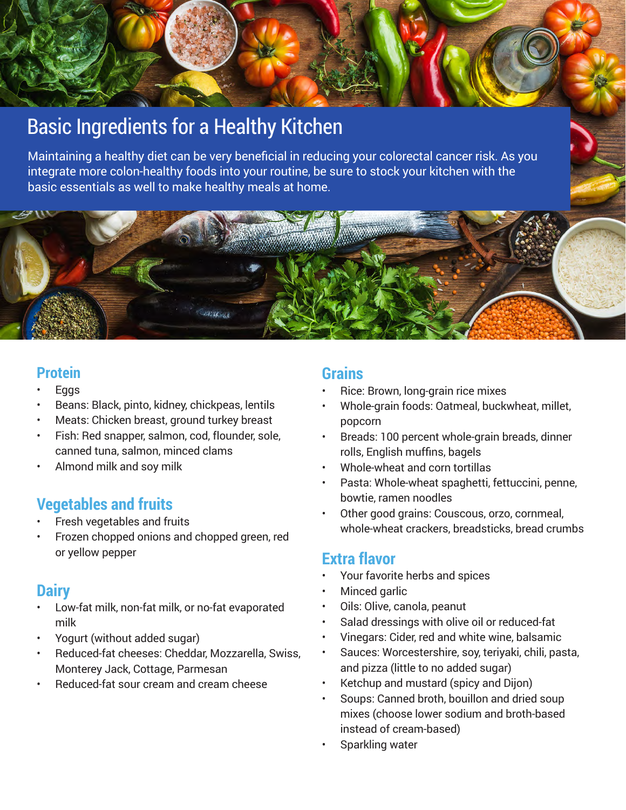# Basic Ingredients for a Healthy Kitchen

Maintaining a healthy diet can be very beneficial in reducing your colorectal cancer risk. As you integrate more colon-healthy foods into your routine, be sure to stock your kitchen with the basic essentials as well to make healthy meals at home.



#### **Protein**

- **Eggs**
- Beans: Black, pinto, kidney, chickpeas, lentils
- Meats: Chicken breast, ground turkey breast
- Fish: Red snapper, salmon, cod, flounder, sole, canned tuna, salmon, minced clams
- Almond milk and soy milk

### **Vegetables and fruits**

- Fresh vegetables and fruits
- Frozen chopped onions and chopped green, red or yellow pepper

### **Dairy**

- Low-fat milk, non-fat milk, or no-fat evaporated milk
- Yogurt (without added sugar)
- Reduced-fat cheeses: Cheddar, Mozzarella, Swiss, Monterey Jack, Cottage, Parmesan
- Reduced-fat sour cream and cream cheese

#### **Grains**

- Rice: Brown, long-grain rice mixes
- Whole-grain foods: Oatmeal, buckwheat, millet, popcorn
- Breads: 100 percent whole-grain breads, dinner rolls, English muffins, bagels
- Whole-wheat and corn tortillas
- Pasta: Whole-wheat spaghetti, fettuccini, penne, bowtie, ramen noodles
- Other good grains: Couscous, orzo, cornmeal, whole-wheat crackers, breadsticks, bread crumbs

### **Extra flavor**

- Your favorite herbs and spices
- Minced garlic
- Oils: Olive, canola, peanut
- Salad dressings with olive oil or reduced-fat
- Vinegars: Cider, red and white wine, balsamic
- Sauces: Worcestershire, soy, teriyaki, chili, pasta, and pizza (little to no added sugar)
- Ketchup and mustard (spicy and Dijon)
- Soups: Canned broth, bouillon and dried soup mixes (choose lower sodium and broth-based instead of cream-based)
- Sparkling water